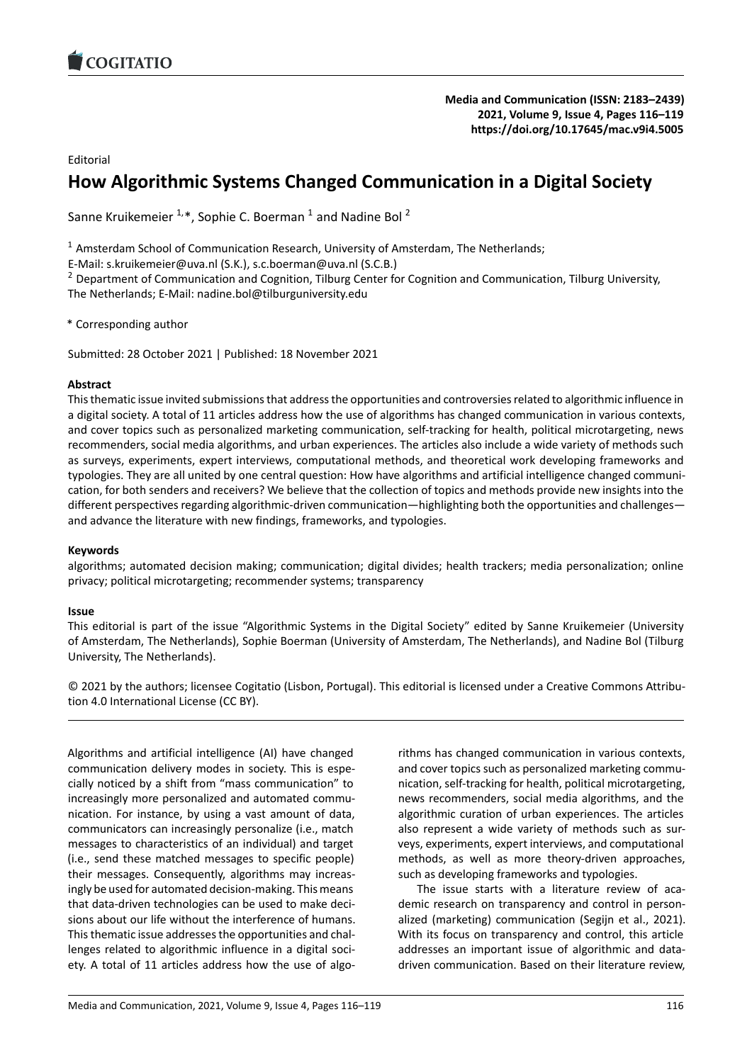

Editorial

# **How Algorithmic Systems Changed Communicat[ion in a Digital Society](https://doi.org/10.17645/mac.v9i4.5005)**

Sanne Kruikemeier  $1, *$ , Sophie C. Boerman  $1$  and Nadine Bol  $^2$ 

 $1$  Amsterdam School of Communication Research, University of Amsterdam, The Netherlands;

E‐Mail: s.kruikemeier@uva.nl (S.K.), s.c.boerman@uva.nl (S.C.B.)

<sup>2</sup> Department of Communication and Cognition, Tilburg Center for Cognition and Communication, Tilburg University, The Netherlands; E‐Mail: nadine.bol@tilburguniversity.edu

\* Corresponding author

Submitted: 28 October 2021 | Published: 18 November 2021

# **Abstract**

This thematic issue invited submissions that address the opportunities and controversies related to algorithmic influence in a digital society. A total of 11 articles address how the use of algorithms has changed communication in various contexts, and cover topics such as personalized marketing communication, self-tracking for health, political microtargeting, news recommenders, social media algorithms, and urban experiences. The articles also include a wide variety of methods such as surveys, experiments, expert interviews, computational methods, and theoretical work developing frameworks and typologies. They are all united by one central question: How have algorithms and artificial intelligence changed communi‐ cation, for both senders and receivers? We believe that the collection of topics and methods provide new insights into the different perspectives regarding algorithmic-driven communication—highlighting both the opportunities and challenges and advance the literature with new findings, frameworks, and typologies.

# **Keywords**

algorithms; automated decision making; communication; digital divides; health trackers; media personalization; online privacy; political microtargeting; recommender systems; transparency

## **Issue**

This editorial is part of the issue "Algorithmic Systems in the Digital Society" edited by Sanne Kruikemeier (University of Amsterdam, The Netherlands), Sophie Boerman (University of Amsterdam, The Netherlands), and Nadine Bol (Tilburg University, The Netherlands).

© 2021 by the authors; licensee Cogitatio (Lisbon, Portugal). This editorial is licensed under a Creative Commons Attribu‐ tion 4.0 International License (CC BY).

Algorithms and artificial intelligence (AI) have changed communication delivery modes in society. This is espe‐ cially noticed by a shift from "mass communication" to increasingly more personalized and automated commu‐ nication. For instance, by using a vast amount of data, communicators can increasingly personalize (i.e., match messages to characteristics of an individual) and target (i.e., send these matched messages to specific people) their messages. Consequently, algorithms may increas‐ ingly be used for automated decision‐making. This means that data‐driven technologies can be used to make deci‐ sions about our life without the interference of humans. This thematic issue addresses the opportunities and chal‐ lenges related to algorithmic influence in a digital soci‐ ety. A total of 11 articles address how the use of algo-

rithms has changed communication in various contexts, and cover topics such as personalized marketing communication, self‐tracking for health, political microtargeting, news recommenders, social media algorithms, and the algorithmic curation of urban experiences. The articles also represent a wide variety of methods such as sur‐ veys, experiments, expert interviews, and computational methods, as well as more theory‐driven approaches, such as developing frameworks and typologies.

The issue starts with a literature review of academic research on transparency and control in person‐ alized (marketing) communication (Segijn et al., 2021). With its focus on transparency and control, this article addresses an important issue of algorithmic and data‐ driven communication. Based on their literature review,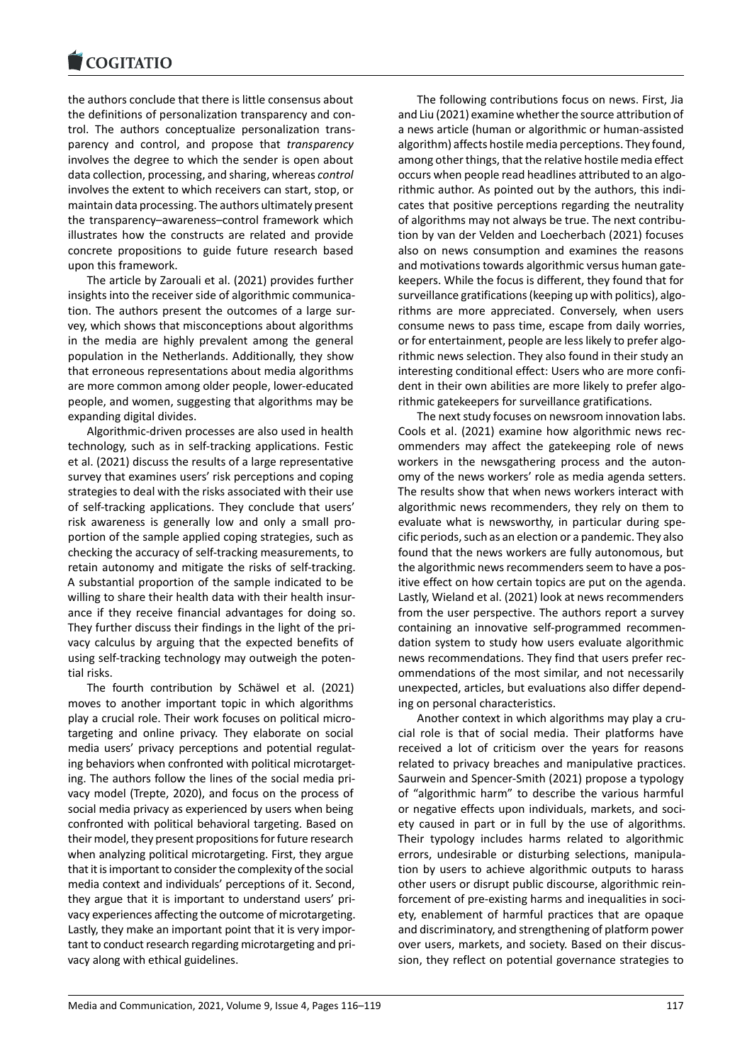#### **LOGITATIO**

the authors conclude that there is little consensus about [the definitions of pe](https://www.cogitatiopress.com)rsonalization transparency and con‐ trol. The authors conceptualize personalization trans‐ parency and control, and propose that *transparency* involves the degree to which the sender is open about data collection, processing, and sharing, whereas *control* involves the extent to which receivers can start, stop, or maintain data processing. The authors ultimately present the transparency–awareness–control framework which illustrates how the constructs are related and provide concrete propositions to guide future research based upon this framework.

The article by Zarouali et al. (2021) provides further insights into the receiver side of algorithmic communication. The authors present the outcomes of a large sur‐ vey, which shows that misconceptions about algorithms in the media are highly prevalent among the general population in the Netherlands. Additionally, they show that erroneous representations about media algorithms are more common among older people, lower‐educated people, and women, suggesting that algorithms may be expanding digital divides.

Algorithmic‐driven processes are also used in health technology, such as in self‐tracking applications. Festic et al. (2021) discuss the results of a large representative survey that examines users' risk perceptions and coping strategies to deal with the risks associated with their use of self-tracking applications. They conclude that users' risk awareness is generally low and only a small pro‐ portion of the sample applied coping strategies, such as checking the accuracy of self‐tracking measurements, to retain autonomy and mitigate the risks of self-tracking. A substantial proportion of the sample indicated to be willing to share their health data with their health insurance if they receive financial advantages for doing so. They further discuss their findings in the light of the pri‐ vacy calculus by arguing that the expected benefits of using self-tracking technology may outweigh the potential risks.

The fourth contribution by Schäwel et al. (2021) moves to another important topic in which algorithms play a crucial role. Their work focuses on political micro‐ targeting and online privacy. They elaborate on social media users' privacy perceptions and potential regulat‐ ing behaviors when confronted with political microtarget‐ ing. The authors follow the lines of the social media pri‐ vacy model (Trepte, 2020), and focus on the process of social media privacy as experienced by users when being confronted with political behavioral targeting. Based on their model, they present propositions for future research when analyzing political microtargeting. First, they argue that it is important to consider the complexity of the social media context and individuals' perceptions of it. Second, they argue that it is important to understand users' pri‐ vacy experiences affecting the outcome of microtargeting. Lastly, they make an important point that it is very impor‐ tant to conduct research regarding microtargeting and pri‐ vacy along with ethical guidelines.

The following contributions focus on news. First, Jia and Liu (2021) examine whether the source attribution of a news article (human or algorithmic or human‐assisted algorithm) affects hostile media perceptions. They found, among other things, that the relative hostile media effect occurs when people read headlines attributed to an algorithmic author. As pointed out by the authors, this indi‐ cates that positive perceptions regarding the neutrality of algorithms may not always be true. The next contribu‐ tion by van der Velden and Loecherbach (2021) focuses also on news consumption and examines the reasons and motivations towards algorithmic versus human gate‐ keepers. While the focus is different, they found that for surveillance gratifications (keeping up with politics), algorithms are more appreciated. Conversely, when users consume news to pass time, escape from daily worries, or for entertainment, people are less likely to prefer algorithmic news selection. They also found in their study an interesting conditional effect: Users who are more confi‐ dent in their own abilities are more likely to prefer algorithmic gatekeepers for surveillance gratifications.

The next study focuses on newsroom innovation labs. Cools et al. (2021) examine how algorithmic news rec‐ ommenders may affect the gatekeeping role of news workers in the newsgathering process and the autonomy of the news workers' role as media agenda setters. The results show that when news workers interact with algorithmic news recommenders, they rely on them to evaluate what is newsworthy, in particular during spe‐ cific periods, such as an election or a pandemic. They also found that the news workers are fully autonomous, but the algorithmic news recommenders seem to have a pos‐ itive effect on how certain topics are put on the agenda. Lastly, Wieland et al. (2021) look at news recommenders from the user perspective. The authors report a survey containing an innovative self‐programmed recommen‐ dation system to study how users evaluate algorithmic news recommendations. They find that users prefer rec‐ ommendations of the most similar, and not necessarily unexpected, articles, but evaluations also differ depend‐ ing on personal characteristics.

Another context in which algorithms may play a cru‐ cial role is that of social media. Their platforms have received a lot of criticism over the years for reasons related to privacy breaches and manipulative practices. Saurwein and Spencer‐Smith (2021) propose a typology of "algorithmic harm" to describe the various harmful or negative effects upon individuals, markets, and soci‐ ety caused in part or in full by the use of algorithms. Their typology includes harms related to algorithmic errors, undesirable or disturbing selections, manipula‐ tion by users to achieve algorithmic outputs to harass other users or disrupt public discourse, algorithmic rein‐ forcement of pre-existing harms and inequalities in society, enablement of harmful practices that are opaque and discriminatory, and strengthening of platform power over users, markets, and society. Based on their discus‐ sion, they reflect on potential governance strategies to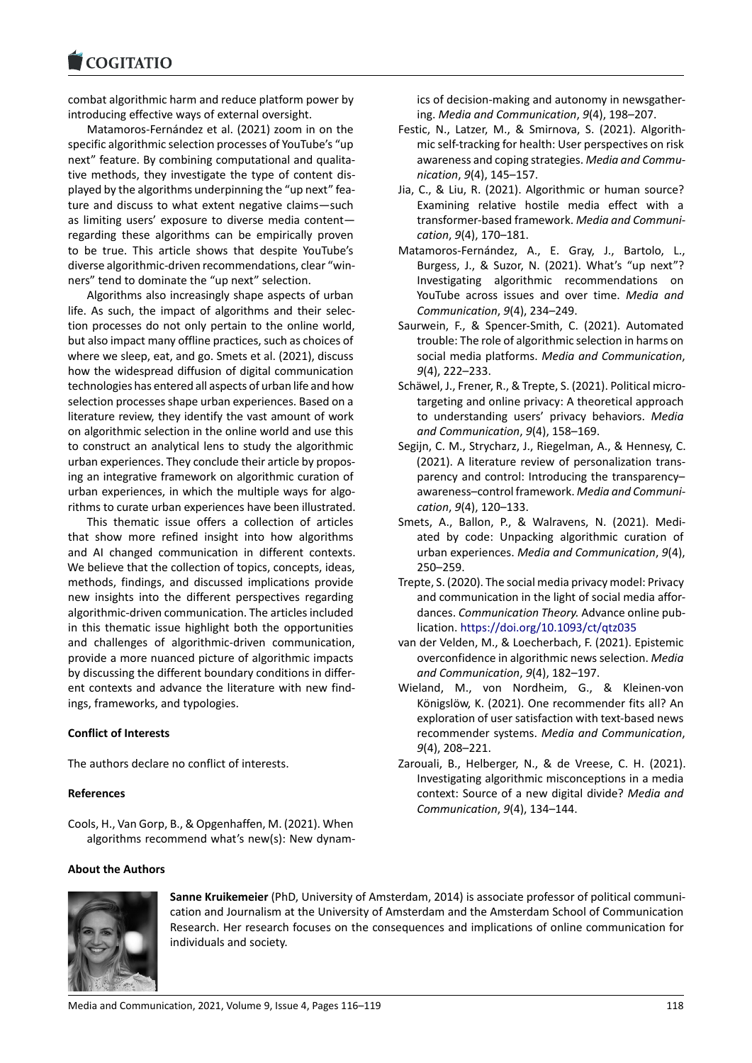#### **LOGITATIO**

combat algorithmic harm and reduce platform power by [introducing effective](https://www.cogitatiopress.com) ways of external oversight.

Matamoros‐Fernández et al. (2021) zoom in on the specific algorithmic selection processes of YouTube's "up next" feature. By combining computational and qualitative methods, they investigate the type of content dis‐ played by the algorithms underpinning the "up next" fea‐ ture and discuss to what extent negative claims—such as limiting users' exposure to diverse media content regarding these algorithms can be empirically proven to be true. This article shows that despite YouTube's diverse algorithmic‐driven recommendations, clear "win‐ ners" tend to dominate the "up next" selection.

Algorithms also increasingly shape aspects of urban life. As such, the impact of algorithms and their selec‐ tion processes do not only pertain to the online world, but also impact many offline practices, such as choices of where we sleep, eat, and go. Smets et al. (2021), discuss how the widespread diffusion of digital communication technologies has entered all aspects of urban life and how selection processes shape urban experiences. Based on a literature review, they identify the vast amount of work on algorithmic selection in the online world and use this to construct an analytical lens to study the algorithmic urban experiences. They conclude their article by propos‐ ing an integrative framework on algorithmic curation of urban experiences, in which the multiple ways for algorithms to curate urban experiences have been illustrated.

This thematic issue offers a collection of articles that show more refined insight into how algorithms and AI changed communication in different contexts. We believe that the collection of topics, concepts, ideas, methods, findings, and discussed implications provide new insights into the different perspectives regarding algorithmic‐driven communication. The articles included in this thematic issue highlight both the opportunities and challenges of algorithmic‐driven communication, provide a more nuanced picture of algorithmic impacts by discussing the different boundary conditions in differ‐ ent contexts and advance the literature with new find‐ ings, frameworks, and typologies.

### **Conflict of Interests**

The authors declare no conflict of interests.

### **References**

Cools, H., Van Gorp, B., & Opgenhaffen, M. (2021). When algorithms recommend what's new(s): New dynam‐

### **About the Authors**



**Sanne Kruikemeier** (PhD, University of Amsterdam, 2014) is associate professor of political communi‐ cation and Journalism at the University of Amsterdam and the Amsterdam School of Communication Research. Her research focuses on the consequences and implications of online communication for individuals and society.

ics of decision‐making and autonomy in newsgather‐ ing. *Media and Communication*, *9*(4), 198–207.

- Festic, N., Latzer, M., & Smirnova, S. (2021). Algorith‐ mic self‐tracking for health: User perspectives on risk awareness and coping strategies. *Media and Commu‐ nication*, *9*(4), 145–157.
- Jia, C., & Liu, R. (2021). Algorithmic or human source? Examining relative hostile media effect with a transformer‐based framework. *Media and Communi‐ cation*, *9*(4), 170–181.
- Matamoros‐Fernández, A., E. Gray, J., Bartolo, L., Burgess, J., & Suzor, N. (2021). What's "up next"? Investigating algorithmic recommendations on YouTube across issues and over time. *Media and Communication*, *9*(4), 234–249.
- Saurwein, F., & Spencer‐Smith, C. (2021). Automated trouble: The role of algorithmic selection in harms on social media platforms. *Media and Communication*, *9*(4), 222–233.
- Schäwel, J., Frener, R., & Trepte, S. (2021). Political micro‐ targeting and online privacy: A theoretical approach to understanding users' privacy behaviors. *Media and Communication*, *9*(4), 158–169.
- Segijn, C. M., Strycharz, J., Riegelman, A., & Hennesy, C. (2021). A literature review of personalization trans‐ parency and control: Introducing the transparency– awareness–control framework. *Media and Communi‐ cation*, *9*(4), 120–133.
- Smets, A., Ballon, P., & Walravens, N. (2021). Medi‐ ated by code: Unpacking algorithmic curation of urban experiences. *Media and Communication*, *9*(4), 250–259.
- Trepte, S. (2020). The social media privacy model: Privacy and communication in the light of social media affor‐ dances. *Communication Theory.* Advance online pub‐ lication. https://doi.org/10.1093/ct/qtz035
- van der Velden, M., & Loecherbach, F. (2021). Epistemic overconfidence in algorithmic news selection. *Media and Communication*, *9*(4), 182–197.
- Wieland, [M., von Nordheim, G., & Kle](https://doi.org/10.1093/ct/qtz035)inen‐von Königslöw, K. (2021). One recommender fits all? An exploration of user satisfaction with text‐based news recommender systems. *Media and Communication*, *9*(4), 208–221.
- Zarouali, B., Helberger, N., & de Vreese, C. H. (2021). Investigating algorithmic misconceptions in a media context: Source of a new digital divide? *Media and Communication*, *9*(4), 134–144.